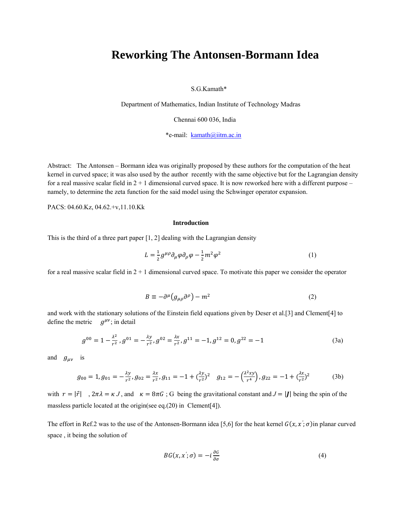# **Reworking The Antonsen-Bormann Idea**

S.G.Kamath\*

Department of Mathematics, Indian Institute of Technology Madras

Chennai 600 036, India

\*e-mail: kamath@iitm.ac.in

Abstract: The Antonsen – Bormann idea was originally proposed by these authors for the computation of the heat kernel in curved space; it was also used by the author recently with the same objective but for the Lagrangian density for a real massive scalar field in  $2 + 1$  dimensional curved space. It is now reworked here with a different purpose – namely, to determine the zeta function for the said model using the Schwinger operator expansion.

PACS: 04.60.Kz, 04.62.+v,11.10.Kk

#### **Introduction**

This is the third of a three part paper [1, 2] dealing with the Lagrangian density

$$
L = \frac{1}{2} g^{\mu \rho} \partial_{\mu} \varphi \partial_{\rho} \varphi - \frac{1}{2} m^2 \varphi^2
$$
 (1)

for a real massive scalar field in  $2 + 1$  dimensional curved space. To motivate this paper we consider the operator

$$
B \equiv -\partial^{\mu} \left( g_{\mu\rho} \partial^{\rho} \right) - m^2 \tag{2}
$$

and work with the stationary solutions of the Einstein field equations given by Deser et al.[3] and Clement[4] to define the metric  $q^{\mu\nu}$ ; in detail

$$
g^{00} = 1 - \frac{\lambda^2}{r^2}, g^{01} = -\frac{\lambda y}{r^2}, g^{02} = \frac{\lambda x}{r^2}, g^{11} = -1, g^{12} = 0, g^{22} = -1
$$
\n(3a)

and  $g_{\mu\nu}$  is

$$
g_{00} = 1, g_{01} = -\frac{\lambda y}{r^2}, g_{02} = \frac{\lambda x}{r^2}, g_{11} = -1 + (\frac{\lambda y}{r^2})^2 \quad g_{12} = -(\frac{\lambda^2 xy}{r^4}), g_{22} = -1 + (\frac{\lambda x}{r^2})^2 \tag{3b}
$$

with  $r = |\vec{r}|$ ,  $2\pi\lambda = \kappa J$ , and  $\kappa = 8\pi G$ ; G being the gravitational constant and  $J = |J|$  being the spin of the massless particle located at the origin(see eq.(20) in Clement[4]).

The effort in Ref.2 was to the use of the Antonsen-Bormann idea [5,6] for the heat kernel  $G(x, x, \sigma)$ in planar curved space , it being the solution of

$$
BG(x, x'; \sigma) = -i \frac{\partial G}{\partial \sigma}
$$
 (4)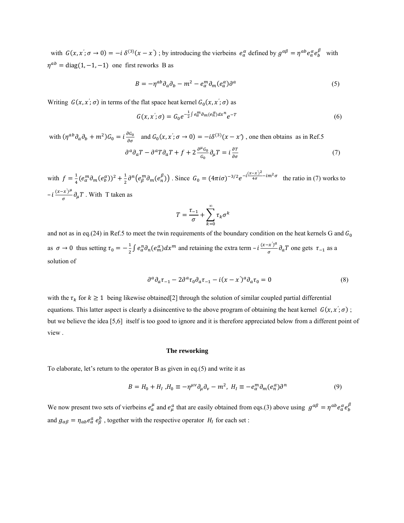with  $G(x, x'; \sigma \to 0) = -i \delta^{(3)}(x - x')$ ; by introducing the vierbeins  $e_a^{\alpha}$  defined by  $g^{\alpha \beta} = \eta^{ab} e_a^{\alpha} e_b^{\beta}$  with  $\eta^{ab}$  = diag(1, -1, -1) one first reworks B as

$$
B = -\eta^{ab}\partial_a\partial_b - m^2 - e_\alpha^m\partial_m(e_a^\alpha)\partial^a \tag{5}
$$

Writing  $G(x, x'; \sigma)$  in terms of the flat space heat kernel  $G_0(x, x'; \sigma)$  as

$$
G(x, x'; \sigma) = G_0 e^{-\frac{1}{2} \int e_\alpha^m \partial_m (e_n^\alpha) dx^n} e^{-T}
$$
 (6)

with  $(\eta^{ab}\partial_a\partial_b + m^2)G_0 = i\frac{\partial G_0}{\partial \sigma}$  and  $G_0(x, x'; \sigma \to 0) = -i\delta^{(3)}(x - x')$ , one then obtains as in Ref.5

$$
\partial^a \partial_a T - \partial^a T \partial_a T + f + 2 \frac{\partial^{\mu} G_0}{G_0} \partial_{\mu} T = i \frac{\partial T}{\partial \sigma}
$$
 (7)

with  $f = \frac{1}{4} (e_\alpha^m \partial_m (e_\beta^\alpha))^2 + \frac{1}{2} \partial^n (e_\beta^m \partial_m (e_\eta^\beta))$ . Since  $G_0 = (4\pi i \sigma)^{-3/2} e^{-i\frac{(x-x')^2}{4\sigma} - im^2 \sigma}$  the ratio in (7) works to  $-i \frac{(x-x')^{\mu}}{\sigma} \partial_{\mu} T$ . With T taken as

$$
T = \frac{\tau_{-1}}{\sigma} + \sum_{k=0}^{\infty} \tau_k \sigma^k
$$

and not as in eq.(24) in Ref.5 to meet the twin requirements of the boundary condition on the heat kernels G and  $G_0$ as  $\sigma \to 0$  thus setting  $\tau_0 = -\frac{1}{2} \int e_a^n \partial_n (e_m^{\alpha}) dx^m$  and retaining the extra term  $-i \frac{(x-x')^a}{\sigma} \partial_a T$  one gets  $\tau_{-1}$  as a solution of

$$
\partial^a \partial_a \tau_{-1} - 2 \partial^a \tau_0 \partial_a \tau_{-1} - i(x - x')^a \partial_a \tau_0 = 0 \tag{8}
$$

with the  $\tau_k$  for  $k \ge 1$  being likewise obtained[2] through the solution of similar coupled partial differential equations. This latter aspect is clearly a disincentive to the above program of obtaining the heat kernel  $G(x, x'; \sigma)$ ; but we believe the idea [5,6] itself is too good to ignore and it is therefore appreciated below from a different point of view .

#### **The reworking**

To elaborate, let's return to the operator B as given in eq.(5) and write it as

$$
B = H_0 + H_I, H_0 \equiv -\eta^{\mu\nu}\partial_\mu\partial_\nu - m^2, H_I \equiv -e_\alpha^m\partial_m(e_\alpha^\alpha)\partial^n
$$
\n<sup>(9)</sup>

We now present two sets of vierbeins  $e^{\mu}_a$  and  $e^a_{\mu}$  that are easily obtained from eqs.(3) above using  $g^{\alpha\beta} = \eta^{ab} e^{\alpha}_a e^{\beta}_b$ and  $g_{\alpha\beta} = \eta_{ab} e^a_{\alpha} e^b_{\beta}$ , together with the respective operator  $H_I$  for each set :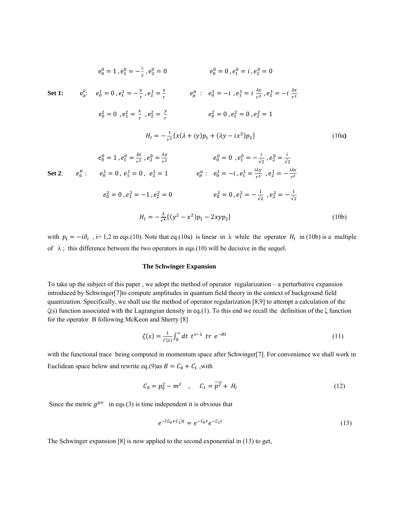$$
e_0^0 = 1, e_1^0 = -\frac{\lambda}{r}, e_2^0 = 0 \qquad e_0^0 = 0, e_1^0 = i, e_2^0 = 0
$$
  
\n**Set 1:**  $e_0^1 = 0, e_1^1 = -\frac{y}{r}, e_2^1 = \frac{x}{r}$   $e_\mu^a$ :  $e_0^1 = -i, e_1^1 = i, \frac{\lambda y}{r^2}, e_2^1 = -i, \frac{\lambda x}{r^2}$   
\n $e_0^2 = 0, e_1^2 = \frac{x}{r}, e_2^2 = \frac{y}{r}$   $e_0^2 = 0, e_1^2 = 0, e_2^2 = 1$   
\n $H_1 = -\frac{1}{r^3} \{x(\lambda + iy)p_1 + (\lambda y - ix^2)p_2\}$  (10a)  
\n $e_0^0 = 1, e_1^0 = \frac{\lambda x}{r^2}, e_2^0 = \frac{\lambda y}{r^2}$   $e_0^0 = 0, e_1^0 = -\frac{i}{\sqrt{2}}, e_2^0 = \frac{i}{\sqrt{2}}$   
\n**Set 2:**  $e_a^\mu$ :  $e_0^1 = 0, e_1^1 = 0, e_2^1 = 1$   $e_\mu^a$ :  $e_0^1 = -i, e_1^1 = \frac{i\lambda y}{r^2}, e_2^1 = -\frac{i\lambda x}{r^2}$   
\n $e_0^2 = 0, e_1^2 = -1, e_2^2 = 0$   $e_0^2 = 0, e_1^2 = -\frac{1}{\sqrt{2}}, e_2^2 = -\frac{1}{\sqrt{2}}$   
\n $H_1 = -\frac{\lambda}{r^4} \{(y^2 - x^2)p_1 - 2xyp_2\}$  (10b)

with  $p_i = -i\partial_i$ , i= 1,2 in eqs.(10). Note that eq.(10a) is linear in  $\lambda$  while the operator  $H_i$  in (10b) is a multiple of  $\lambda$ ; this difference between the two operators in eqs.(10) will be decisive in the sequel.

### **The Schwinger Expansion**

To take up the subject of this paper , we adopt the method of operator regularization – a perturbative expansion introduced by Schwinger[7]to compute amplitudes in quantum field theory in the context of background field quantization. Specifically, we shall use the method of operator regularization [8,9] to attempt a calculation of the ζ(s) function associated with the Lagrangian density in eq.(1). To this end we recall the definition of the ζ function for the operator B following McKeon and Sherry [8]

$$
\zeta(s) = \frac{1}{\Gamma(s)} \int_0^\infty dt \ t^{s-1} \ tr \ e^{-Bt} \tag{11}
$$

with the functional trace being computed in momentum space after Schwinger[7]. For convenience we shall work in Euclidean space below and rewrite eq.(9)as  $B = C_0 + C_1$ , with

$$
C_0 = p_0^2 - m^2 \quad , \quad C_1 = \overline{p^2} + H_I \tag{12}
$$

Since the metric  $q^{\mu\nu}$  in eqs.(3) is time independent it is obvious that

$$
e^{-(C_0+C_1)t} = e^{-C_0t}e^{-C_1t} \tag{13}
$$

The Schwinger expansion [8] is now applied to the second exponential in (13) to get,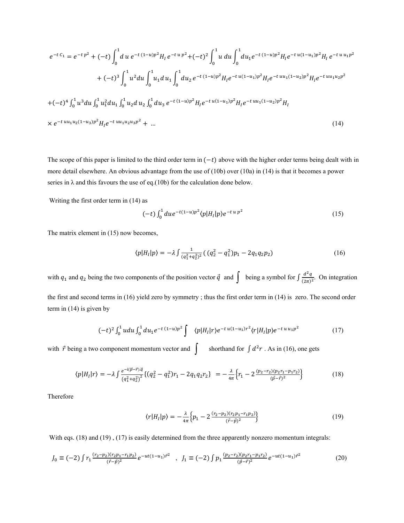$$
e^{-t C_1} = e^{-t p^2} + (-t) \int_0^1 du \, e^{-t (1-u)p^2} H_I \, e^{-t u p^2} + (-t)^2 \int_0^1 u \, du \int_0^1 du_1 e^{-t (1-u)p^2} H_I e^{-t u (1-u_1)p^2} H_I \, e^{-t u u_1 p^2}
$$

$$
+ (-t)^3 \int_0^1 u^2 du \int_0^1 u_1 du_1 \int_0^1 du_2 \, e^{-t (1-u)p^2} H_I e^{-t u (1-u_1)p^2} H_I e^{-t u u_1 (1-u_2)p^2} H_I e^{-t u u_1 u_2 p^2}
$$

$$
+ (-t)^4 \int_0^1 u^3 du \int_0^1 u_1^2 du_1 \int_0^1 u_2 du_2 \int_0^1 du_3 \, e^{-t (1-u)p^2} H_I e^{-t u (1-u_1)p^2} H_I e^{-t u u_1 (1-u_2)p^2} H_I
$$

$$
\times e^{-t u u_1 u_2 (1-u_3)p^2} H_I e^{-t u u_1 u_2 u_3 p^2} + \dots \tag{14}
$$

The scope of this paper is limited to the third order term in  $(-t)$  above with the higher order terms being dealt with in more detail elsewhere. An obvious advantage from the use of (10b) over (10a) in (14) is that it becomes a power series in  $\lambda$  and this favours the use of eq.(10b) for the calculation done below.

Writing the first order term in (14) as

$$
(-t) \int_0^1 du e^{-t(1-u)p^2} \langle p|H_l|p \rangle e^{-t \, u \, p^2} \tag{15}
$$

The matrix element in (15) now becomes,

$$
\langle p|H_1|p\rangle = -\lambda \int \frac{1}{(q_1^2 + q_2^2)^2} \left( \left( q_2^2 - q_1^2 \right) p_1 - 2q_1 q_2 p_2 \right) \tag{16}
$$

with  $q_1$  and  $q_2$  being the two components of the position vector  $\vec{q}$  and  $\int$  being a symbol for  $\int \frac{d^2q}{(2\pi)^2}$ . On integration the first and second terms in (16) yield zero by symmetry ; thus the first order term in (14) is zero. The second order term in (14) is given by

$$
(-t)^2 \int_0^1 u du \int_0^1 du_1 e^{-t (1-u)p^2} \int \langle p|H_I|r \rangle e^{-t u (1-u_1)r^2} \langle r|H_I|p \rangle e^{-t u u_1 p^2} \tag{17}
$$

with  $\vec{r}$  being a two component momentum vector and  $\int$  shorthand for  $\int d^2r$ . As in (16), one gets

$$
\langle p|H_1|r\rangle = -\lambda \int \frac{e^{-i(\vec{p}-\vec{r})\cdot\vec{q}}}{(q_1^2+q_2^2)^2} \{ (q_2^2-q_1^2)r_1 - 2q_1q_2r_2 \} = -\frac{\lambda}{4\pi} \Big\{ r_1 - 2 \frac{(p_2-r_2)(p_2r_1-p_1r_2)}{(\vec{p}-\vec{r})^2} \Big\} \tag{18}
$$

Therefore

$$
\langle r|H_I|p\rangle = -\frac{\lambda}{4\pi} \Big\{ p_1 - 2 \frac{(r_2 - p_2)(r_2 p_1 - r_1 p_2)}{(\vec{r} - \vec{p})^2} \Big\} \tag{19}
$$

With eqs. (18) and (19), (17) is easily determined from the three apparently nonzero momentum integrals:

$$
J_0 \equiv (-2) \int r_1 \frac{(r_2 - p_2)(r_2 p_1 - r_1 p_2)}{(\vec{r} - \vec{p})^2} e^{-ut(1 - u_1)\vec{r}^2} , \quad J_1 \equiv (-2) \int p_1 \frac{(p_2 - r_2)(p_2 r_1 - p_1 r_2)}{(\vec{p} - \vec{r})^2} e^{-ut(1 - u_1)\vec{r}^2}
$$
(20)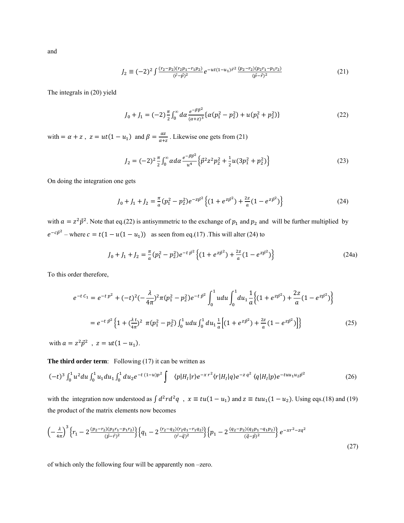and

$$
J_2 \equiv (-2)^2 \int \frac{(r_2 - p_2)(r_2 p_1 - r_1 p_2)}{(\vec{r} - \vec{p})^2} e^{-ut(1 - u_1)\vec{r}^2} \frac{(p_2 - r_2)(p_2 r_1 - p_1 r_2)}{(\vec{p} - \vec{r})^2}
$$
(21)

The integrals in (20) yield

$$
J_0 + J_1 = (-2)^{\frac{\pi}{2}} \int_0^{\infty} d\alpha \, \frac{e^{-\beta \vec{p}^2}}{(\alpha + z)^3} \{ \alpha (p_1^2 - p_2^2) + u(p_1^2 + p_2^2) \} \tag{22}
$$

with  $=\alpha + z$ ,  $z = ut(1 - u_1)$  and  $\beta = \frac{\alpha z}{\alpha + z}$ . Likewise one gets from (21)

$$
J_2 = (-2)^2 \frac{\pi}{2} \int_0^\infty \alpha d\alpha \frac{e^{-\beta \vec{p}^2}}{u^4} \left\{ \vec{p}^2 z^2 p_2^2 + \frac{1}{2} u (3p_1^2 + p_2^2) \right\} \tag{23}
$$

On doing the integration one gets

$$
J_0 + J_1 + J_2 = \frac{\pi}{a} (p_1^2 - p_2^2) e^{-z\vec{p}^2} \left\{ (1 + e^{z\vec{p}^2}) + \frac{2z}{a} (1 - e^{z\vec{p}^2}) \right\}
$$
(24)

with  $a = z^2 \vec{p}^2$ . Note that eq.(22) is antisymmetric to the exchange of  $p_1$  and  $p_2$  and will be further multiplied by  $e^{-c\vec{p}^2}$  – where  $c = t(1 - u(1 - u_1))$  as seen from eq.(17). This will alter (24) to

$$
J_0 + J_1 + J_2 = \frac{\pi}{a} (p_1^2 - p_2^2) e^{-t \vec{p}^2} \left\{ (1 + e^{z\vec{p}^2}) + \frac{2z}{a} (1 - e^{z\vec{p}^2}) \right\}
$$
(24a)

To this order therefore,

$$
e^{-t C_1} = e^{-t p^2} + (-t)^2 (-\frac{\lambda}{4\pi})^2 \pi (p_1^2 - p_2^2) e^{-t p^2} \int_0^1 u du \int_0^1 du_1 \frac{1}{a} \Big\{ (1 + e^{z p^2}) + \frac{2z}{a} (1 - e^{z p^2}) \Big\}
$$
  
= 
$$
e^{-t p^2} \Big\{ 1 + (\frac{\lambda t}{4\pi})^2 \pi (p_1^2 - p_2^2) \int_0^1 u du \int_0^1 du_1 \frac{1}{a} \Big[ (1 + e^{z p^2}) + \frac{2z}{a} (1 - e^{z p^2}) \Big] \Big\}
$$
(25)

with  $a = z^2 \vec{p}^2$ ,  $z = ut(1 - u_1)$ .

**The third order term**: Following (17) it can be written as

$$
(-t)^3 \int_0^1 u^2 du \int_0^1 u_1 du_1 \int_0^1 du_2 e^{-t(1-u)p^2} \int \sqrt{p|H_I|r} e^{-x r^2} \langle r|H_I|q \rangle e^{-z q^2} \langle q|H_I|p \rangle e^{-t u u_1 u_2 p^2} \tag{26}
$$

with the integration now understood as  $\int d^2r d^2q$ ,  $x \equiv tu(1-u_1)$  and  $z \equiv tuu_1(1-u_2)$ . Using eqs.(18) and (19) the product of the matrix elements now becomes

$$
\left(-\frac{\lambda}{4\pi}\right)^3 \left\{r_1 - 2\frac{(p_2 - r_2)(p_2r_1 - p_1r_2)}{(\vec{p} - \vec{r})^2}\right\} \left\{q_1 - 2\frac{(r_2 - q_2)(r_2q_1 - r_1q_2)}{(\vec{r} - \vec{q})^2}\right\} \left\{p_1 - 2\frac{(q_2 - p_2)(q_2p_1 - q_1p_2)}{(\vec{q} - \vec{p})^2}\right\} e^{-xr^2 - zq^2}
$$
\n
$$
(27)
$$

of which only the following four will be apparently non –zero.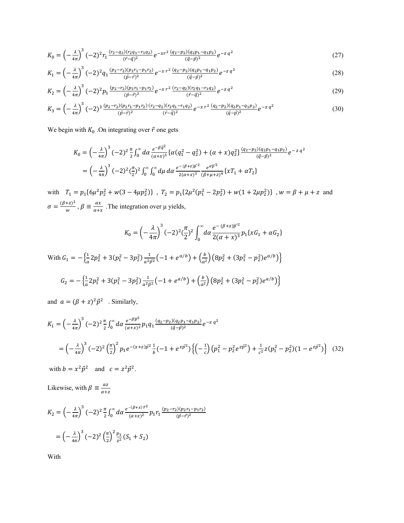$$
K_0 = \left(-\frac{\lambda}{4\pi}\right)^3 (-2)^2 r_1 \frac{(r_2 - q_2)(r_2 q_1 - r_1 q_2)}{(\vec{r} - \vec{q})^2} e^{-xr^2} \frac{(q_2 - p_2)(q_2 p_1 - q_1 p_2)}{(\vec{q} - \vec{p})^2} e^{-z q^2}
$$
(27)

$$
K_1 = \left(-\frac{\lambda}{4\pi}\right)^3 \left(-2\right)^2 q_1 \frac{(p_2 - r_2)(p_2 r_1 - p_1 r_2)}{(\vec{p} - \vec{r})^2} e^{-\chi r^2} \frac{(q_2 - p_2)(q_2 p_1 - q_1 p_2)}{(\vec{q} - \vec{p})^2} e^{-z q^2}
$$
(28)

$$
K_2 = \left(-\frac{\lambda}{4\pi}\right)^3 \left(-2\right)^2 p_1 \frac{(p_2 - r_2)(p_2 r_1 - p_1 r_2)}{(\vec{p} - \vec{r})^2} e^{-x r^2} \frac{(r_2 - q_2)(r_2 q_1 - r_1 q_2)}{(\vec{r} - \vec{q})^2} e^{-z q^2} \tag{29}
$$

$$
K_3 = \left(-\frac{\lambda}{4\pi}\right)^3 \left(-2\right)^3 \frac{(p_2 - r_2)(p_2 r_1 - p_1 r_2)}{(\vec{p} - \vec{r})^2} \frac{(r_2 - q_2)(r_2 q_1 - r_1 q_2)}{(\vec{r} - \vec{q})^2} e^{-\chi r^2} \frac{(q_2 - p_2)(q_2 p_1 - q_1 p_2)}{(\vec{q} - \vec{p})^2} e^{-z q^2} \tag{30}
$$

We begin with  $K_0$  . On integrating over  $\vec{r}$  one gets

$$
K_0 = \left(-\frac{\lambda}{4\pi}\right)^3 \left(-2\right)^2 \frac{\pi}{2} \int_0^\infty d\alpha \, \frac{e^{-\beta \vec{q}^2}}{(\alpha + x)^3} \left\{ \alpha \left(q_1^2 - q_2^2\right) + (\alpha + x) q_2^2 \right\} \frac{(q_2 - p_2)(q_2 p_1 - q_1 p_2)}{(\vec{q} - \vec{p})^2} e^{-z \, q^2}
$$
  
=  $\left(-\frac{\lambda}{4\pi}\right)^3 \left(-2\right)^2 \left(\frac{\pi}{2}\right)^2 \int_0^\infty \int_0^\infty d\mu \, d\alpha \, \frac{e^{-(\beta + z)\vec{p}^2}}{2(\alpha + x)^3} \frac{e^{\sigma \vec{p}^2}}{(\beta + \mu + z)^4} \left\{ x T_1 + \alpha T_2 \right\}$ 

with  $T_1 = p_1 \{6\mu^2 p_2^2 + w(3 - 4\mu p_2^2)\}\;$ ,  $T_2 = p_1 \{2\mu^2 (p_1^2 - 2p_2^2) + w(1 + 2\mu p_2^2)\}\;$ ,  $w = \beta + \mu + z$  and  $\sigma = \frac{(\beta + z)^2}{w}$ ,  $\beta \equiv \frac{\alpha x}{\alpha + x}$ . The integration over  $\mu$  yields,

$$
K_0 = \left(-\frac{\lambda}{4\pi}\right)^3 (-2)^2 \left(\frac{\pi}{2}\right)^2 \int_0^\infty d\alpha \frac{e^{-(\beta+z)\overline{p}^2}}{2(\alpha+x)^3} p_1\{xG_1 + \alpha G_2\}
$$

With  $G_1 = -\left\{\frac{1}{a}2p_2^2 + 3(p_1^2 - 3p_2^2)\frac{1}{a^2p^2}(-1 + e^{a/b}) + \left(\frac{b}{a^2}\right)\left(8p_2^2 + (3p_1^2 - p_2^2)e^{a/b}\right)\right\}$  $G_2 = -\left\{\frac{1}{a}2p_1^2 + 3(p_1^2 - 3p_2^2)\frac{1}{a^2p^2}(-1 + e^{a/b}) + \left(\frac{b}{a^2}\right)\left(8p_2^2 + (3p_1^2 - p_2^2)e^{a/b}\right)\right\}$ 

and  $a = (\beta + z)^2 \vec{p}^2$  . Similarly,

$$
K_{1} = \left(-\frac{\lambda}{4\pi}\right)^{3} (-2)^{2} \frac{\pi}{2} \int_{0}^{\infty} d\alpha \frac{e^{-\beta \vec{p}^{2}}}{(\alpha + x)^{2}} p_{1} q_{1} \frac{(q_{2} - p_{2})(q_{2} p_{1} - q_{1} p_{2})}{(\vec{q} - \vec{p})^{2}} e^{-z q^{2}}
$$
\n
$$
= \left(-\frac{\lambda}{4\pi}\right)^{3} (-2)^{2} \left(\frac{\pi}{2}\right)^{2} p_{1} e^{-(x+z)\vec{p}^{2}} \frac{1}{b} (-1 + e^{x\vec{p}^{2}}) \left\{ \left(-\frac{1}{c}\right) \left(p_{1}^{2} - p_{2}^{2} e^{z\vec{p}^{2}}\right) + \frac{1}{c^{2}} z (p_{1}^{2} - p_{2}^{2}) (1 - e^{z\vec{p}^{2}}) \right\} (32)
$$

with  $b = x^2 \vec{p}^2$  and  $c = z^2 \vec{p}^2$ .

Likewise, with  $\beta \equiv \frac{\alpha z}{\alpha + z}$ 

$$
K_2 = \left(-\frac{\lambda}{4\pi}\right)^3 (-2)^2 \frac{\pi}{2} \int_0^\infty d\alpha \, \frac{e^{-(\beta + x)\vec{r}^2}}{(\alpha + x)^2} p_1 r_1 \frac{(p_2 - r_2)(p_2 r_1 - p_1 r_2)}{(\vec{p} - \vec{r})^2}
$$

$$
= \left(-\frac{\lambda}{4\pi}\right)^3 (-2)^2 \left(\frac{\pi}{2}\right)^2 \frac{p_1}{z^2} (S_1 + S_2)
$$

With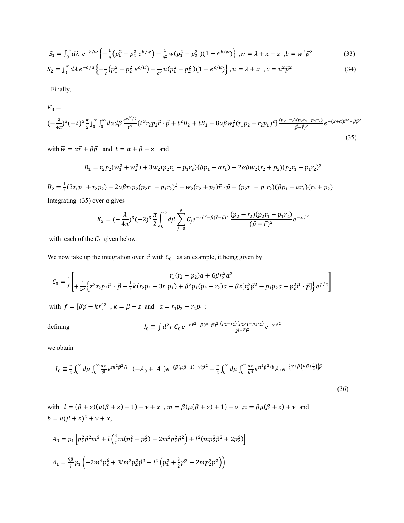$$
S_1 = \int_0^{\infty} d\lambda \ e^{-b/w} \left\{ -\frac{1}{b} \left( p_1^2 - p_2^2 \ e^{b/w} \right) - \frac{1}{b^2} w (p_1^2 - p_2^2) (1 - e^{b/w}) \right\}, w = \lambda + x + z, b = w^2 \vec{p}^2
$$
 (33)

$$
S_2 = \int_0^{\infty} d\lambda \, e^{-c/u} \left\{ -\frac{1}{c} \left( p_1^2 - p_2^2 \, e^{c/u} \right) - \frac{1}{c^2} u \left( p_1^2 - p_2^2 \right) \left( 1 - e^{c/u} \right) \right\}, u = \lambda + x \ , c = u^2 \vec{p}^2 \tag{34}
$$

Finally,

$$
K_3 =
$$
\n
$$
(-\frac{\lambda}{4\pi})^3 (-2)^3 \frac{\pi}{2} \int_0^\infty \int_0^\infty d\alpha d\beta \frac{e^{\overline{w}^2/t}}{t^5} \{t^3 r_2 p_2 \vec{r} \cdot \vec{p} + t^2 B_2 + t B_1 - 8\alpha \beta w_2^2 (r_1 p_2 - r_2 p_1)^2\} \frac{(p_2 - r_2)(p_2 r_1 - p_1 r_2)}{(\vec{p} - \vec{r})^2} e^{-(x + \alpha)\vec{r}^2 - \beta \vec{p}^2}
$$
\n(35)

with  $\vec{w} = \alpha \vec{r} + \beta \vec{p}$  and  $t = \alpha + \beta + z$  and

$$
B_1 = r_2 p_2 (w_1^2 + w_2^2) + 3 w_2 (p_2 r_1 - p_1 r_2) (\beta p_1 - \alpha r_1) + 2 \alpha \beta w_2 (r_2 + p_2) (p_2 r_1 - p_1 r_2)^2
$$

 $B_2 = \frac{1}{2}(3r_1p_1 + r_2p_2) - 2\alpha\beta r_2p_2(p_2r_1 - p_1r_2)^2 - w_2(r_2 + p_2)\vec{r} \cdot \vec{p} - (p_2r_1 - p_1r_2)(\beta p_1 - \alpha r_1)(r_2 + p_2)$ Integrating (35) over  $\alpha$  gives

$$
K_3 = (-\frac{\lambda}{4\pi})^3 (-2)^3 \frac{\pi}{2} \int_0^\infty d\beta \sum_{j=0}^9 C_j e^{-z\vec{r}^2 - \beta(\vec{r} - \vec{p})^2} \frac{(p_2 - r_2)(p_2r_1 - p_1r_2)}{(\vec{p} - \vec{r})^2} e^{-x\vec{r}^2}
$$

with each of the  $C_i$  given below.

We now take up the integration over  $\vec{r}$  with  $C_0$  as an example, it being given by

$$
C_0 = \frac{1}{f} \left[ + \frac{1}{k^2} \left\{ z^2 r_2 p_2 \vec{r} \cdot \vec{p} + \frac{1}{2} k (r_2 p_2 + 3r_1 p_1) + \beta^2 p_1 (p_2 - r_2) a + \beta z [r_2^2 \vec{p}^2 - p_1 p_2 a - p_2^2 \vec{r} \cdot \vec{p}] \right\} e^{f/k} \right]
$$

with  $f = [\beta \vec{p} - k\vec{r}]^2$ ,  $k = \beta + z$  and  $a = r_1p_2 - r_2p_1$ ;

$$
I_0 \equiv \int d^2 r \, C_0 \, e^{-z \vec{r}^2 - \beta (\vec{r} - \vec{p})^2} \frac{(p_2 - r_2)(p_2 r_1 - p_1 r_2)}{(\vec{p} - \vec{r})^2} e^{-x \, \vec{r}^2}
$$

we obtain

defining

$$
I_0 \equiv \frac{\pi}{2} \int_0^\infty d\mu \int_0^\infty \frac{dv}{l^5} e^{m^2 \vec{p}^2/l} \ \left( -A_0 + A_1 \right) e^{-(\beta(\mu\beta + 1) + \nu)\vec{p}^2} + \frac{\pi}{2} \int_0^\infty d\mu \int_0^\infty \frac{dv}{b^4} e^{n^2 \vec{p}^2/b} A_2 e^{-\left\{ \nu + \beta \left( \mu \beta + \frac{z}{k} \right) \right\} \vec{p}^2}
$$
\n(36)

with  $l = (\beta + z)(\mu(\beta + z) + 1) + \nu + x$ ,  $m = \beta(\mu(\beta + z) + 1) + \nu$ ,  $n = \beta\mu(\beta + z) + \nu$  and  $b = \mu(\beta + z)^2 + \nu + x$ ,

$$
A_0 = p_1 \left[ p_2^2 \vec{p}^2 m^3 + l \left( \frac{3}{2} m (p_1^2 - p_2^2) - 2 m^2 p_2^2 \vec{p}^2 \right) + l^2 (m p_2^2 \vec{p}^2 + 2 p_2^2) \right]
$$
  

$$
A_1 = \frac{9 \beta}{l} p_1 \left( -2 m^4 p_2^6 + 3 l m^2 p_2^2 \vec{p}^2 + l^2 \left( p_1^2 + \frac{3}{2} \vec{p}^2 - 2 m p_2^2 \vec{p}^2 \right) \right)
$$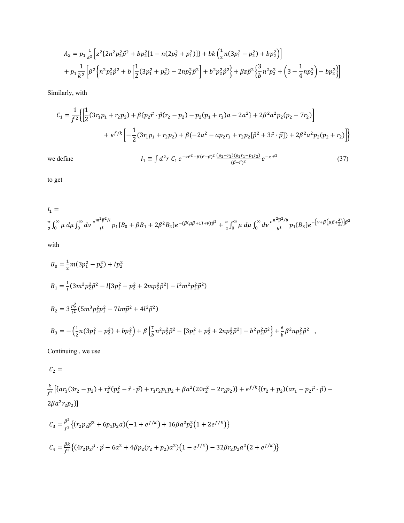$$
A_2 = p_1 \frac{1}{k^2} \Big[ z^2 \{ 2n^2 p_2^2 \vec{p}^2 + bp_2^2 [1 - n(2p_2^2 + p_1^2)] \} + bk \Big( \frac{1}{2} n(3p_1^2 - p_2^2) + bp_2^2 \Big) \Big] + p_1 \frac{1}{k^2} \Big[ \beta^2 \Big\{ n^2 p_2^2 \vec{p}^2 + b \Big[ \frac{1}{2} (3p_1^2 + p_2^2) - 2np_2^2 \vec{p}^2 \Big] + b^2 p_2^2 \vec{p}^2 \Big\} + \beta z \vec{p}^2 \Big\{ \frac{3}{b} n^2 p_2^2 + \Big( 3 - \frac{1}{4} np_2^2 \Big) - bp_2^2 \Big\} \Big]
$$

Similarly, with

$$
C_1 = \frac{1}{f^2} \Biggl\{ \Biggl[ \frac{1}{2} (3r_1 p_1 + r_2 p_2) + \beta \{p_2 \vec{r} \cdot \vec{p} (r_2 - p_2) - p_2 (p_1 + r_1) a - 2a^2\} + 2 \beta^2 a^2 p_2 (p_2 - 7r_2) \Biggr] \\ + e^{f/k} \Biggl[ -\frac{1}{2} (3r_1 p_1 + r_2 p_2) + \beta (-2a^2 - ap_2 r_1 + r_2 p_2 [\vec{p}^2 + 3\vec{r} \cdot \vec{p}]) + 2 \beta^2 a^2 p_2 (p_2 + r_2) \Biggr] \Biggr\}
$$

we define

$$
I_1 \equiv \int d^2 r \, C_1 \, e^{-z \vec{r}^2 - \beta (\vec{r} - \vec{p})^2} \frac{(p_2 - r_2)(p_2 r_1 - p_1 r_2)}{(\vec{p} - \vec{r})^2} e^{-x \, \vec{r}^2}
$$
\n(37)

to get

$$
I_1 = \frac{\pi}{2} \int_0^\infty \mu \, d\mu \int_0^\infty dv \frac{e^{m^2 \vec{p}^2/l}}{l^3} p_1 \{B_0 + \beta B_1 + 2\beta^2 B_2\} e^{-(\beta(\mu\beta + 1) + \nu)\vec{p}^2} + \frac{\pi}{2} \int_0^\infty \mu \, d\mu \int_0^\infty dv \frac{e^{n^2 \vec{p}^2/b}}{b^3} p_1 \{B_3\} e^{-\{\nu + \beta(\mu\beta + \frac{z}{k})\}\vec{p}^2}
$$

with

$$
B_0 = \frac{1}{2}m(3p_1^2 - p_2^2) + lp_2^2
$$
  
\n
$$
B_1 = \frac{1}{l}(3m^2p_2^2\vec{p}^2 - l[3p_1^2 - p_2^2 + 2mp_2^2\vec{p}^2] - l^2m^2p_2^2\vec{p}^2)
$$
  
\n
$$
B_2 = 3\frac{p_2^2}{l^2}(5m^3p_2^2p_1^2 - 7lm\vec{p}^2 + 4l^2\vec{p}^2)
$$
  
\n
$$
B_3 = -(\frac{1}{2}n(3p_1^2 - p_2^2) + bp_2^2) + \beta(\frac{7}{b}n^2p_2^2\vec{p}^2 - [3p_1^2 + p_2^2 + 2np_2^2\vec{p}^2] - b^2p_2^2\vec{p}^2) + \frac{6}{b}\beta^2np_2^2\vec{p}^2 ,
$$

Continuing , we use

 $C_2 =$ 

$$
\frac{k}{f^2} \left[ \{ ar_1(3r_2 - p_2) + r_2^2(p_2^2 - \vec{r} \cdot \vec{p}) + r_1r_2p_1p_2 + \beta a^2(20r_2^2 - 2r_2p_2) \} + e^{f/k} \{ (r_2 + p_2)(ar_1 - p_2\vec{r} \cdot \vec{p}) - 2\beta a^2r_2p_2 \} \right]
$$
\n
$$
C_3 = \frac{\beta^2}{f^3} \{ (r_2p_2\vec{p}^2 + 6p_1p_2a)(-1 + e^{f/k}) + 16\beta a^2p_2^2(1 + 2e^{f/k}) \}
$$

$$
C_4 = \frac{\beta k}{f^3} \left\{ (4r_2 p_2 \vec{r} \cdot \vec{p} - 6a^2 + 4\beta p_2 (r_2 + p_2) a^2) (1 - e^{f/k}) - 32\beta r_2 p_2 a^2 (2 + e^{f/k}) \right\}
$$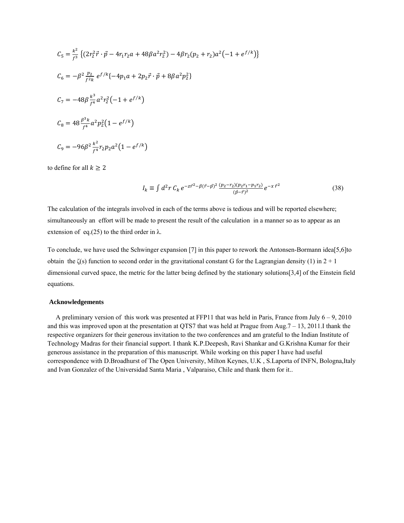$$
C_5 = \frac{k^2}{f^3} \left\{ (2r_2^2 \vec{r} \cdot \vec{p} - 4r_1r_2a + 48\beta a^2r_2^2) - 4\beta r_2(p_2 + r_2)a^2(-1 + e^{f/k}) \right\}
$$
  
\n
$$
C_6 = -\beta^2 \frac{p_2}{f^2 k} e^{f/k} \{-4p_1a + 2p_2 \vec{r} \cdot \vec{p} + 8\beta a^2 p_2^2 \}
$$
  
\n
$$
C_7 = -48\beta \frac{k^3}{f^4} a^2r_2^2(-1 + e^{f/k})
$$
  
\n
$$
C_8 = 48 \frac{\beta^3 k}{f^4} a^2 p_2^2 (1 - e^{f/k})
$$
  
\n
$$
C_9 = -96\beta^2 \frac{k^2}{f^4} r_2p_2 a^2 (1 - e^{f/k})
$$

to define for all  $k \geq 2$ 

$$
I_k \equiv \int d^2 r \, C_k \, e^{-z \vec{r}^2 - \beta(\vec{r} - \vec{p})^2} \frac{(p_2 - r_2)(p_2 r_1 - p_1 r_2)}{(\vec{p} - \vec{r})^2} e^{-x \, \vec{r}^2}
$$
(38)

The calculation of the integrals involved in each of the terms above is tedious and will be reported elsewhere; simultaneously an effort will be made to present the result of the calculation in a manner so as to appear as an extension of eq.(25) to the third order in  $\lambda$ .

To conclude, we have used the Schwinger expansion [7] in this paper to rework the Antonsen-Bormann idea[5,6]to obtain the  $\zeta(s)$  function to second order in the gravitational constant G for the Lagrangian density (1) in  $2 + 1$ dimensional curved space, the metric for the latter being defined by the stationary solutions[3,4] of the Einstein field equations.

## **Acknowledgements**

A preliminary version of this work was presented at FFP11 that was held in Paris, France from July  $6 - 9$ , 2010 and this was improved upon at the presentation at QTS7 that was held at Prague from Aug.7 – 13, 2011.I thank the respective organizers for their generous invitation to the two conferences and am grateful to the Indian Institute of Technology Madras for their financial support. I thank K.P.Deepesh, Ravi Shankar and G.Krishna Kumar for their generous assistance in the preparation of this manuscript. While working on this paper I have had useful correspondence with D.Broadhurst of The Open University, Milton Keynes, U.K , S.Laporta of INFN, Bologna,Italy and Ivan Gonzalez of the Universidad Santa Maria , Valparaiso, Chile and thank them for it..